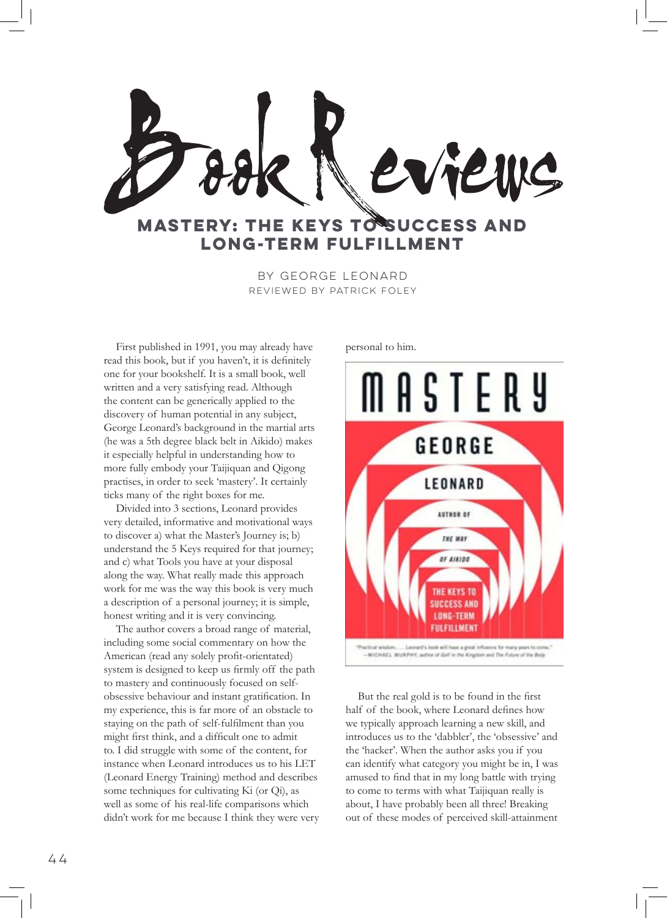

by George Leonard Reviewed by Patrick Foley

First published in 1991, you may already have read this book, but if you haven't, it is definitely one for your bookshelf. It is a small book, well written and a very satisfying read. Although the content can be generically applied to the discovery of human potential in any subject, George Leonard's background in the martial arts (he was a 5th degree black belt in Aikido) makes it especially helpful in understanding how to more fully embody your Taijiquan and Qigong practises, in order to seek 'mastery'. It certainly ticks many of the right boxes for me.

Divided into 3 sections, Leonard provides very detailed, informative and motivational ways to discover a) what the Master's Journey is; b) understand the 5 Keys required for that journey; and c) what Tools you have at your disposal along the way. What really made this approach work for me was the way this book is very much a description of a personal journey; it is simple, honest writing and it is very convincing.

The author covers a broad range of material, including some social commentary on how the American (read any solely profit-orientated) system is designed to keep us firmly off the path to mastery and continuously focused on selfobsessive behaviour and instant gratification. In my experience, this is far more of an obstacle to staying on the path of self-fulfilment than you might first think, and a difficult one to admit to. I did struggle with some of the content, for instance when Leonard introduces us to his LET (Leonard Energy Training) method and describes some techniques for cultivating Ki (or Qi), as well as some of his real-life comparisons which didn't work for me because I think they were very personal to him.



-MICHAEL MURPHY, author of Golf in the Kingdom and The Fulure of the Body

But the real gold is to be found in the first half of the book, where Leonard defines how we typically approach learning a new skill, and introduces us to the 'dabbler', the 'obsessive' and the 'hacker'. When the author asks you if you can identify what category you might be in, I was amused to find that in my long battle with trying to come to terms with what Taijiquan really is about, I have probably been all three! Breaking out of these modes of perceived skill-attainment